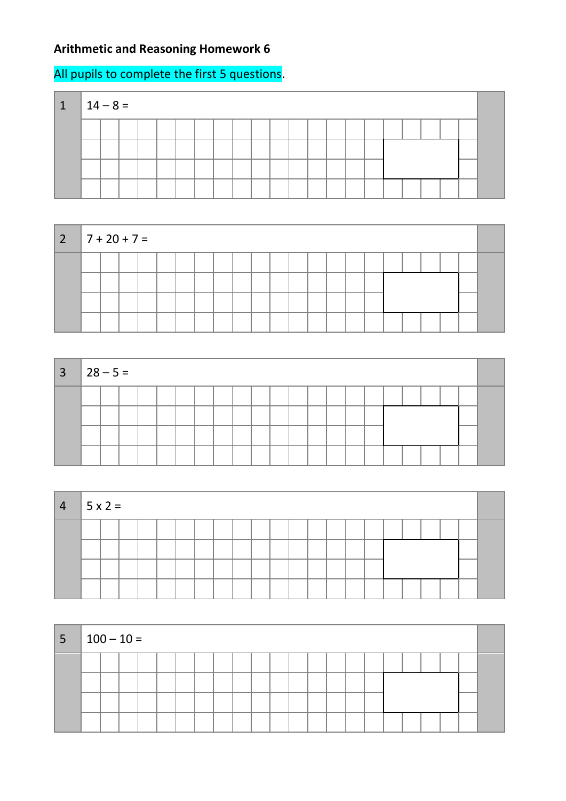## **Arithmetic and Reasoning Homework 6**

## All pupils to complete the first 5 questions.

| 1 | $14 - 8 =$ |  |  |  |  |  |  |  |  |  |  |  |
|---|------------|--|--|--|--|--|--|--|--|--|--|--|
|   |            |  |  |  |  |  |  |  |  |  |  |  |
|   |            |  |  |  |  |  |  |  |  |  |  |  |
|   |            |  |  |  |  |  |  |  |  |  |  |  |
|   |            |  |  |  |  |  |  |  |  |  |  |  |



| $3 \mid 28 - 5 =$ |  |  |  |  |  |  |  |  |  |  |  |
|-------------------|--|--|--|--|--|--|--|--|--|--|--|
|                   |  |  |  |  |  |  |  |  |  |  |  |
|                   |  |  |  |  |  |  |  |  |  |  |  |
|                   |  |  |  |  |  |  |  |  |  |  |  |

| $4 \mid 5 \times 2 =$ |  |  |  |  |  |  |  |  |  |  |  |
|-----------------------|--|--|--|--|--|--|--|--|--|--|--|
|                       |  |  |  |  |  |  |  |  |  |  |  |
|                       |  |  |  |  |  |  |  |  |  |  |  |
|                       |  |  |  |  |  |  |  |  |  |  |  |
|                       |  |  |  |  |  |  |  |  |  |  |  |

| $ 5 100-10=$ |  |  |  |  |  |  |  |  |  |  |  |
|--------------|--|--|--|--|--|--|--|--|--|--|--|
|              |  |  |  |  |  |  |  |  |  |  |  |
|              |  |  |  |  |  |  |  |  |  |  |  |
|              |  |  |  |  |  |  |  |  |  |  |  |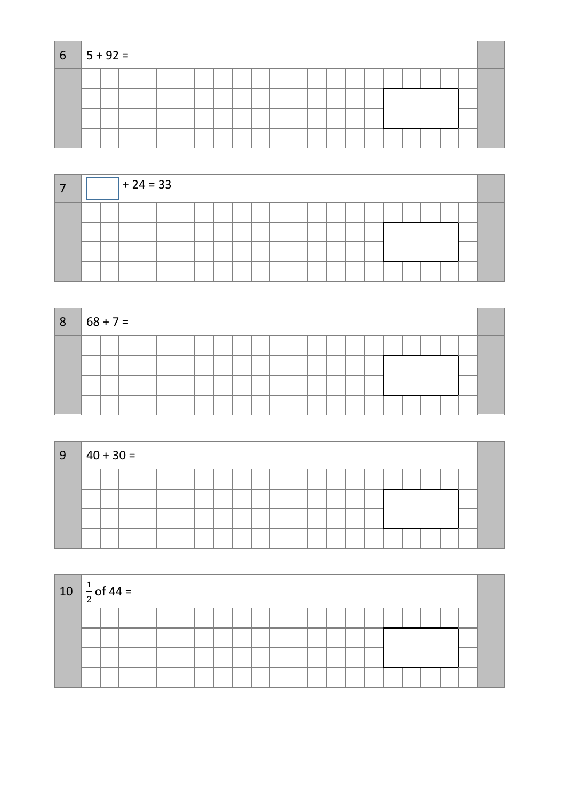| $6 \t 5 + 92 =$ |  |  |  |  |  |  |  |  |  |  |  |
|-----------------|--|--|--|--|--|--|--|--|--|--|--|
|                 |  |  |  |  |  |  |  |  |  |  |  |
|                 |  |  |  |  |  |  |  |  |  |  |  |
|                 |  |  |  |  |  |  |  |  |  |  |  |
|                 |  |  |  |  |  |  |  |  |  |  |  |

|  |  | $+24=33$ |  |  |  |  |  |  |  |  |  |
|--|--|----------|--|--|--|--|--|--|--|--|--|
|  |  |          |  |  |  |  |  |  |  |  |  |
|  |  |          |  |  |  |  |  |  |  |  |  |
|  |  |          |  |  |  |  |  |  |  |  |  |
|  |  |          |  |  |  |  |  |  |  |  |  |

| 8 | $ 68 + 7 =$ |  |  |  |  |  |  |  |  |  |  |  |
|---|-------------|--|--|--|--|--|--|--|--|--|--|--|
|   |             |  |  |  |  |  |  |  |  |  |  |  |
|   |             |  |  |  |  |  |  |  |  |  |  |  |
|   |             |  |  |  |  |  |  |  |  |  |  |  |
|   |             |  |  |  |  |  |  |  |  |  |  |  |

| 9 | $ 40 + 30 =$ |  |  |  |  |  |  |  |  |  |  |
|---|--------------|--|--|--|--|--|--|--|--|--|--|
|   |              |  |  |  |  |  |  |  |  |  |  |
|   |              |  |  |  |  |  |  |  |  |  |  |
|   |              |  |  |  |  |  |  |  |  |  |  |

| $10 \left  \frac{1}{2} \right.$ of 44 = |  |  |  |  |  |  |  |  |  |  |  |
|-----------------------------------------|--|--|--|--|--|--|--|--|--|--|--|
|                                         |  |  |  |  |  |  |  |  |  |  |  |
|                                         |  |  |  |  |  |  |  |  |  |  |  |
|                                         |  |  |  |  |  |  |  |  |  |  |  |
|                                         |  |  |  |  |  |  |  |  |  |  |  |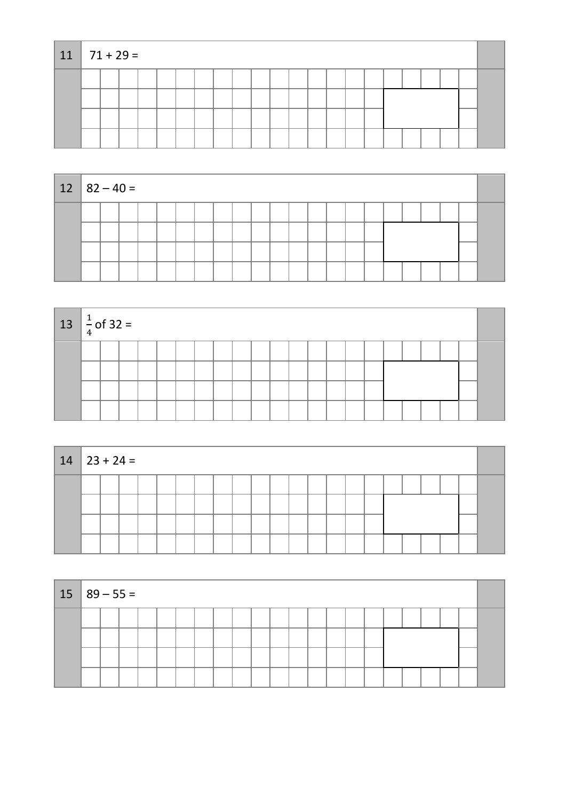| $11 \mid 71 + 29 =$ |  |  |  |  |  |  |  |  |  |  |  |
|---------------------|--|--|--|--|--|--|--|--|--|--|--|
|                     |  |  |  |  |  |  |  |  |  |  |  |
|                     |  |  |  |  |  |  |  |  |  |  |  |
|                     |  |  |  |  |  |  |  |  |  |  |  |
|                     |  |  |  |  |  |  |  |  |  |  |  |

| $12 \mid 82 - 40 =$ |  |  |  |  |  |  |  |  |  |  |  |
|---------------------|--|--|--|--|--|--|--|--|--|--|--|
|                     |  |  |  |  |  |  |  |  |  |  |  |
|                     |  |  |  |  |  |  |  |  |  |  |  |
|                     |  |  |  |  |  |  |  |  |  |  |  |
|                     |  |  |  |  |  |  |  |  |  |  |  |

| $13 \left  \frac{1}{4} \text{ of } 32 \right $ |  |  |  |  |  |  |  |  |  |  |  |
|------------------------------------------------|--|--|--|--|--|--|--|--|--|--|--|
|                                                |  |  |  |  |  |  |  |  |  |  |  |
|                                                |  |  |  |  |  |  |  |  |  |  |  |
|                                                |  |  |  |  |  |  |  |  |  |  |  |
|                                                |  |  |  |  |  |  |  |  |  |  |  |

| $14 \mid 23 + 24 =$ |  |  |  |  |  |  |  |  |  |  |  |  |  |  |  |  |
|---------------------|--|--|--|--|--|--|--|--|--|--|--|--|--|--|--|--|
|                     |  |  |  |  |  |  |  |  |  |  |  |  |  |  |  |  |
|                     |  |  |  |  |  |  |  |  |  |  |  |  |  |  |  |  |
|                     |  |  |  |  |  |  |  |  |  |  |  |  |  |  |  |  |
|                     |  |  |  |  |  |  |  |  |  |  |  |  |  |  |  |  |

| $15 \mid 89 - 55 =$ |  |  |  |  |  |  |  |  |  |  |  |  |  |  |  |  |  |
|---------------------|--|--|--|--|--|--|--|--|--|--|--|--|--|--|--|--|--|
|                     |  |  |  |  |  |  |  |  |  |  |  |  |  |  |  |  |  |
|                     |  |  |  |  |  |  |  |  |  |  |  |  |  |  |  |  |  |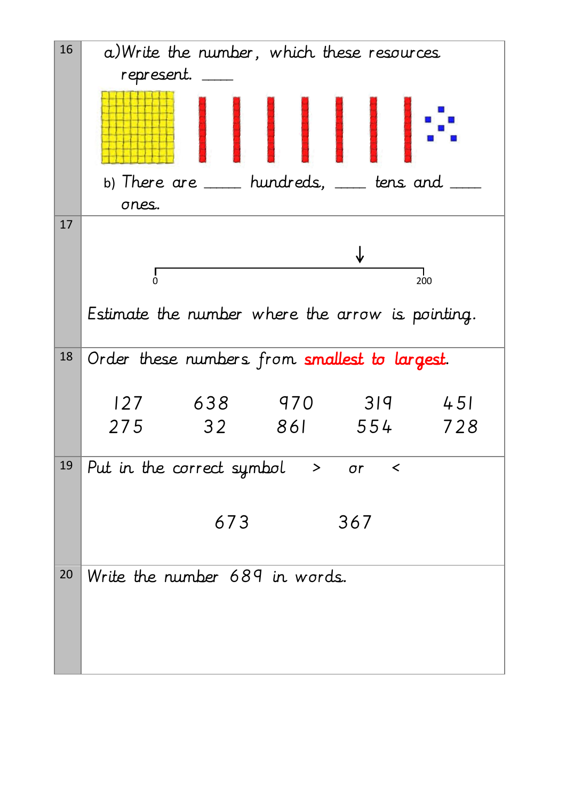| 16 | a) Write the number, which these resources              |
|----|---------------------------------------------------------|
|    | represent.                                              |
|    |                                                         |
|    | b) There are ___ hundreds, __ tens and                  |
|    | ones.                                                   |
| 17 |                                                         |
|    |                                                         |
|    | $\dot{0}$<br>200                                        |
|    |                                                         |
|    | Estimate the number where the arrow is pointing.        |
| 18 | Order these numbers from smallest to largest.           |
|    |                                                         |
|    | 638<br>319<br>127<br>970<br>451                         |
|    | 32<br>275<br>861<br>554<br>728                          |
|    |                                                         |
| 19 | Put in the correct symbol $\rightarrow$<br>$\sigma r$ < |
|    |                                                         |
|    | 673<br>367                                              |
|    |                                                         |
| 20 | Write the number 689 in words.                          |
|    |                                                         |
|    |                                                         |
|    |                                                         |
|    |                                                         |